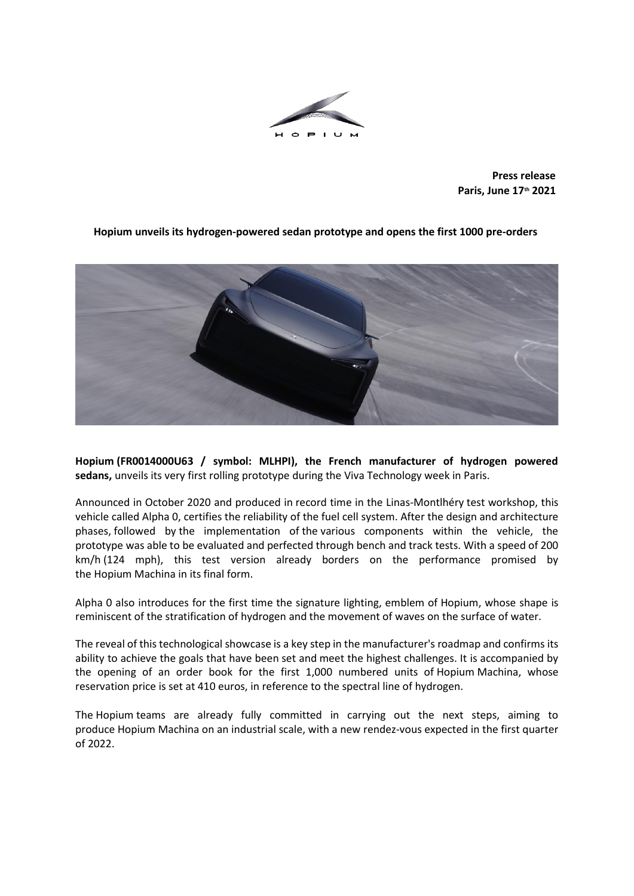

**Press release Paris, June 17th 2021**



**Hopium unveils its hydrogen-powered sedan prototype and opens the first 1000 pre-orders**

**Hopium (FR0014000U63 / symbol: MLHPI), the French manufacturer of hydrogen powered sedans,** unveils its very first rolling prototype during the Viva Technology week in Paris.

Announced in October 2020 and produced in record time in the Linas-Montlhéry test workshop, this vehicle called Alpha 0, certifies the reliability of the fuel cell system. After the design and architecture phases, followed by the implementation of the various components within the vehicle, the prototype was able to be evaluated and perfected through bench and track tests. With a speed of 200 km/h (124 mph), this test version already borders on the performance promised by the Hopium Machina in its final form.

Alpha 0 also introduces for the first time the signature lighting, emblem of Hopium, whose shape is reminiscent of the stratification of hydrogen and the movement of waves on the surface of water.

The reveal of this technological showcase is a key step in the manufacturer's roadmap and confirms its ability to achieve the goals that have been set and meet the highest challenges. It is accompanied by the opening of an order book for the first 1,000 numbered units of Hopium Machina, whose reservation price is set at 410 euros, in reference to the spectral line of hydrogen.

The Hopium teams are already fully committed in carrying out the next steps, aiming to produce Hopium Machina on an industrial scale, with a new rendez-vous expected in the first quarter of 2022.